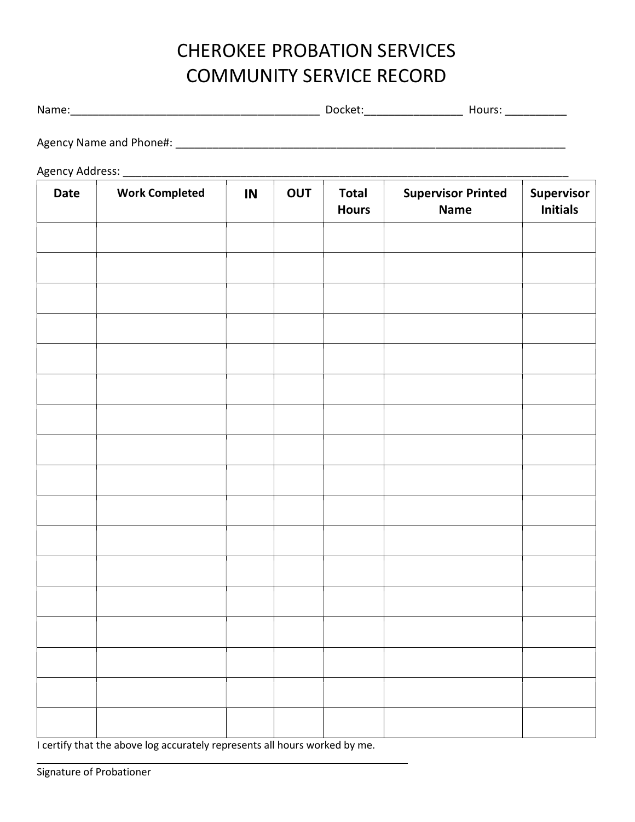## CHEROKEE PROBATION SERVICES COMMUNITY SERVICE RECORD

Name:\_\_\_\_\_\_\_\_\_\_\_\_\_\_\_\_\_\_\_\_\_\_\_\_\_\_\_\_\_\_\_\_\_\_\_\_\_\_\_\_\_\_\_\_ Docket:\_\_\_\_\_\_\_\_\_\_\_\_\_\_\_\_ Hours: \_\_\_\_\_\_\_\_\_\_

Agency Name and Phone#:  $\overline{a}$ 

Agency Address: **and a structure of the structure of the structure of the structure of the structure of the structure of the structure of the structure of the structure of the structure of the structure of the structure of** 

| <b>Date</b> | <b>Work Completed</b> | IN | OUT | <b>Total</b><br><b>Hours</b> | <b>Supervisor Printed</b><br><b>Name</b> | Supervisor<br><b>Initials</b> |
|-------------|-----------------------|----|-----|------------------------------|------------------------------------------|-------------------------------|
|             |                       |    |     |                              |                                          |                               |
|             |                       |    |     |                              |                                          |                               |
|             |                       |    |     |                              |                                          |                               |
|             |                       |    |     |                              |                                          |                               |
|             |                       |    |     |                              |                                          |                               |
|             |                       |    |     |                              |                                          |                               |
|             |                       |    |     |                              |                                          |                               |
|             |                       |    |     |                              |                                          |                               |
|             |                       |    |     |                              |                                          |                               |
|             |                       |    |     |                              |                                          |                               |
|             |                       |    |     |                              |                                          |                               |
|             |                       |    |     |                              |                                          |                               |
|             |                       |    |     |                              |                                          |                               |
|             |                       |    |     |                              |                                          |                               |
|             |                       |    |     |                              |                                          |                               |
|             |                       |    |     |                              |                                          |                               |
|             |                       |    |     |                              |                                          |                               |

I certify that the above log accurately represents all hours worked by me.